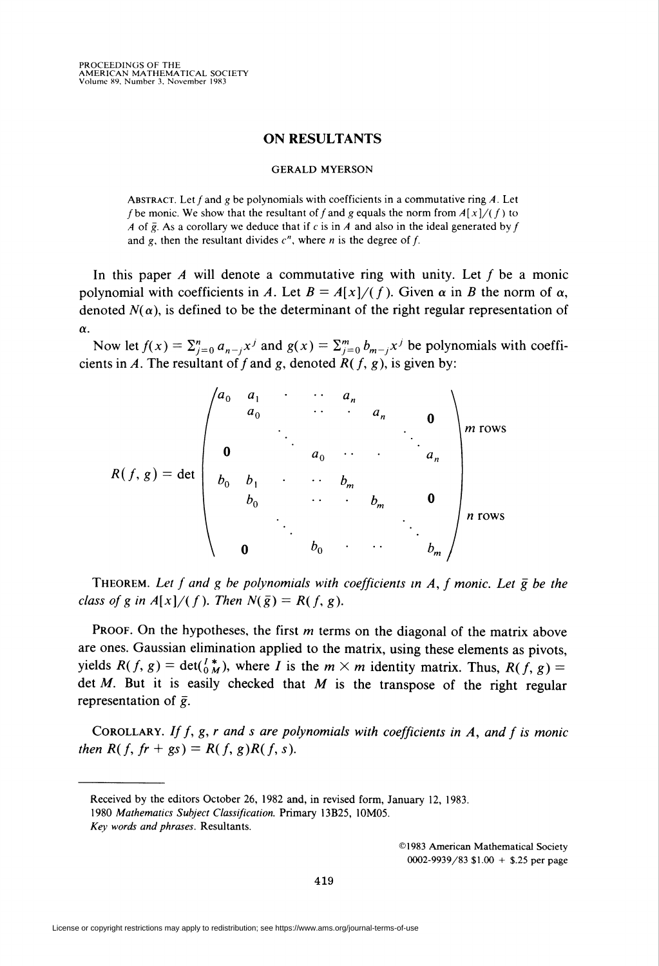## ON RESULTANTS

## GERALD MYERSON

ABSTRACT. Let  $f$  and  $g$  be polynomials with coefficients in a commutative ring  $A$ . Let f be monic. We show that the resultant of f and g equals the norm from  $A[x]/(f)$  to A of  $\bar{g}$ . As a corollary we deduce that if c is in A and also in the ideal generated by f and g, then the resultant divides  $c<sup>n</sup>$ , where *n* is the degree of *f*.

In this paper  $A$  will denote a commutative ring with unity. Let  $f$  be a monic polynomial with coefficients in A. Let  $B = A[x]/(f)$ . Given  $\alpha$  in B the norm of  $\alpha$ , denoted  $N(\alpha)$ , is defined to be the determinant of the right regular representation of  $\alpha$ .

Now let  $f(x) = \sum_{j=0}^n a_{n-j}x^j$  and  $g(x) = \sum_{j=0}^m b_{m-j}x^j$  be polynomials with coefficients in A. The resultant of f and g, denoted  $R(f, g)$ , is given by:

$$
R(f,g) = \det \begin{pmatrix} a_0 & a_1 & \cdots & a_n & & & \\ & a_0 & & \cdots & & a_n & & \\ & & \ddots & & & & \\ 0 & & & a_0 & \cdots & & a_n \\ & & & & a_0 & \cdots & & a_n \\ b_0 & b_1 & \cdots & b_m & & & \\ & & & \ddots & & & b_m & & \\ & & & & & & \ddots & & \\ 0 & & & & & & & b_m \end{pmatrix} n \text{ rows}
$$

THEOREM. Let f and g be polynomials with coefficients in A, f monic. Let  $\bar{g}$  be the class of g in  $A[x]/(f)$ . Then  $N(\bar{g}) = R(f, g)$ .

PROOF. On the hypotheses, the first  $m$  terms on the diagonal of the matrix above are ones. Gaussian elimination applied to the matrix, using these elements as pivots, yields  $R(f, g) = \det(\frac{f^*}{g}, g)$ , where I is the  $m \times m$  identity matrix. Thus,  $R(f, g) =$ det  $M$ . But it is easily checked that  $M$  is the transpose of the right regular representation of  $\bar{g}$ .

COROLLARY. If f, g, r and s are polynomials with coefficients in A, and f is monic then  $R(f, fr + gs) = R(f, g)R(f, s)$ .

©1983 American Mathematical Society 0002-9939/83 \$1.00 + \$.25 per page

Received by the editors October 26, 1982 and, in revised form, January 12, 1983.

<sup>1980</sup> Mathematics Subject Classification. Primary 13B25, 10M05. Key words and phrases. Resultants.